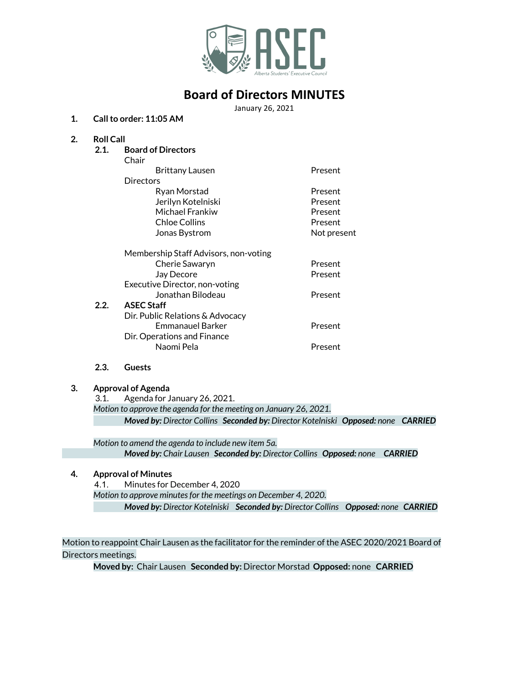

## **Board of Directors MINUTES**

January 26, 2021

### **1. Callto order: 11:05 AM**

### **2. Roll Call**

**2.1. Board of Directors** Chair Brittany Lausen **Present Directors** Ryan Morstad **Present** Jerilyn Kotelniski Present Michael Frankiw **Present** Chloe Collins **Present** Jonas Bystrom Not present Membership Staff Advisors, non-voting Cherie Sawaryn **Present** Jay Decore **Present** Executive Director, non-voting Jonathan Bilodeau Present **2.2. ASEC Staff** Dir. Public Relations & Advocacy Emmanauel Barker **Present** Dir. Operations and Finance Naomi Pela **Present** 

### **2.3. Guests**

### **3. Approval of Agenda**

3.1. Agenda for January 26, 2021. *Motion to approve the agenda for the meeting on January 26, 2021. Moved by: Director Collins Seconded by: Director Kotelniski Opposed: none CARRIED*

*Motion to amend the agenda to include new item 5a. Moved by: Chair Lausen Seconded by: Director Collins Opposed: none CARRIED*

### **4. Approval of Minutes**

4.1. Minutes for December 4, 2020

*Motion to approve minutesfor the meetings on December 4, 2020.*

*Moved by: Director Kotelniski Seconded by: Director Collins Opposed: none CARRIED*

Motion to reappoint Chair Lausen as the facilitator for the reminder of the ASEC 2020/2021 Board of Directors meetings.

**Moved by:** Chair Lausen **Seconded by:** Director Morstad **Opposed:** none **CARRIED**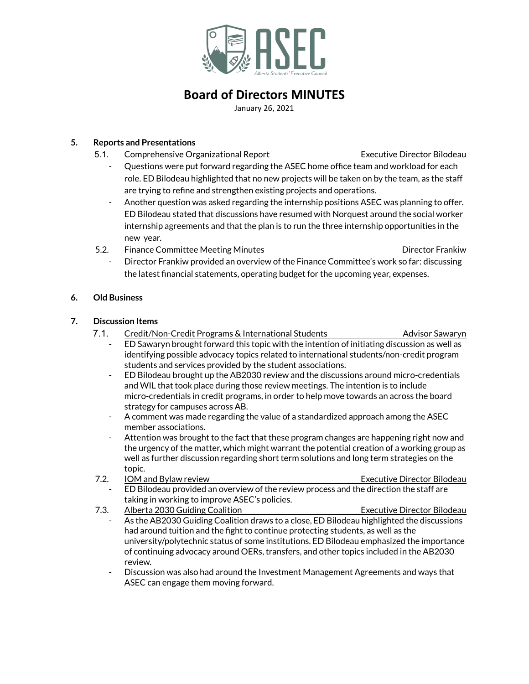

# **Board of Directors MINUTES**

January 26, 2021

## **5. Reports and Presentations**

- 5.1. Comprehensive Organizational Report Executive Director Bilodeau
	- Questions were put forward regarding the ASEC home office team and workload for each role. ED Bilodeau highlighted that no new projects will be taken on by the team, as the staff are trying to refine and strengthen existing projects and operations.
	- Another question was asked regarding the internship positions ASEC was planning to offer. ED Bilodeau stated that discussions have resumed with Norquest around the social worker internship agreements and that the plan is to run the three internship opportunities in the new year.
- 5.2. Finance Committee Meeting Minutes Director Frankiw

- Director Frankiw provided an overview of the Finance Committee's work so far: discussing the latest financial statements, operating budget for the upcoming year, expenses.

## **6. Old Business**

## **7. Discussion Items**

- 7.1. Credit/Non-Credit Programs & International Students **Advision** Sawaryn
	- ED Sawaryn brought forward this topic with the intention of initiating discussion as well as identifying possible advocacy topics related to international students/non-credit program students and services provided by the student associations.
	- ED Bilodeau brought up the AB2030 review and the discussions around micro-credentials and WIL that took place during those review meetings. The intention is to include micro-credentials in credit programs, in order to help move towards an across the board strategy for campuses across AB.
	- A comment was made regarding the value of a standardized approach among the ASEC member associations.
	- Attention was brought to the fact that these program changes are happening right now and the urgency of the matter, which might warrant the potential creation of a working group as well as further discussion regarding short term solutions and long term strategies on the topic.
- 7.2. IOM and Bylaw review **Executive Director Bilodeau** ED Bilodeau provided an overview of the review process and the direction the staff are
- taking in working to improve ASEC's policies.
- 7.3. Alberta 2030 Guiding Coalition **Executive Director Bilodeau** As the AB2030 Guiding Coalition draws to a close, ED Bilodeau highlighted the discussions had around tuition and the fight to continue protecting students, as well as the university/polytechnic status of some institutions. ED Bilodeau emphasized the importance of continuing advocacy around OERs, transfers, and other topics included in the AB2030 review.
	- Discussion was also had around the Investment Management Agreements and ways that ASEC can engage them moving forward.